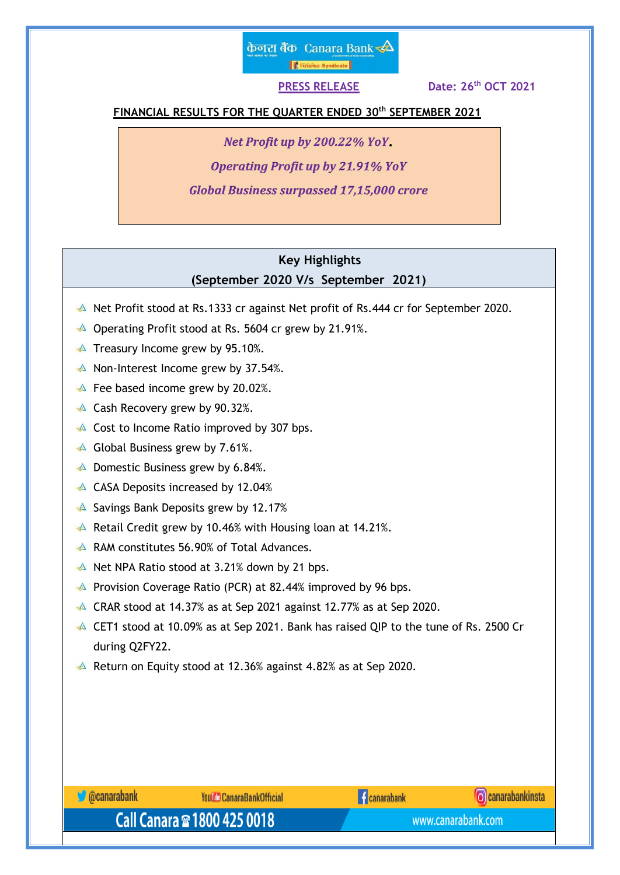# केनरा बैंक Canara Bank $\clubsuit$ │ ।<br>│ सिंडिकेट Syndicate │

**PRESS RELEASE** 

**th OCT 2021**

## **FINANCIAL RESULTS FOR THE QUARTER ENDED 30 th SEPTEMBER 2021**

*Net Profit up by 200.22% YoY*

*Operating Profit up by 21.91% YoY*

*Global Business surpassed 17,15,000 crore*

# **Key Highlights (September 2020 V/s September 2021)**

- A Net Profit stood at Rs.1333 cr against Net profit of Rs.444 cr for September 2020.
- ♦ Operating Profit stood at Rs. 5604 cr grew by 21.91%.
- $\triangle$  Treasury Income grew by 95.10%.
- $\triangle$  Non-Interest Income grew by 37.54%.
- $\triangle$  Fee based income grew by 20.02%.
- **A** Cash Recovery grew by 90.32%.
- $\triangle$  Cost to Income Ratio improved by 307 bps.
- $\triangle$  Global Business grew by 7.61%.
- $\triangle$  Domestic Business grew by 6.84%.
- A CASA Deposits increased by 12.04%
- $\triangle$  Savings Bank Deposits grew by 12.17%
- Retail Credit grew by 10.46% with Housing loan at 14.21%.
- A RAM constitutes 56.90% of Total Advances.
- $\triangle$  Net NPA Ratio stood at 3.21% down by 21 bps.
- **A** Provision Coverage Ratio (PCR) at 82.44% improved by 96 bps.
- $\triangle$  CRAR stood at 14.37% as at Sep 2021 against 12.77% as at Sep 2020.
- CET1 stood at 10.09% as at Sep 2021. Bank has raised QIP to the tune of Rs. 2500 Cr during Q2FY22.
- Return on Equity stood at 12.36% against 4.82% as at Sep 2020.

**C** @canarabank Call Canara <sup>®</sup> 1800 425 0018

**YouTule CanaraBankOfficial** 

**Canarabank** 



www.canarabank.com